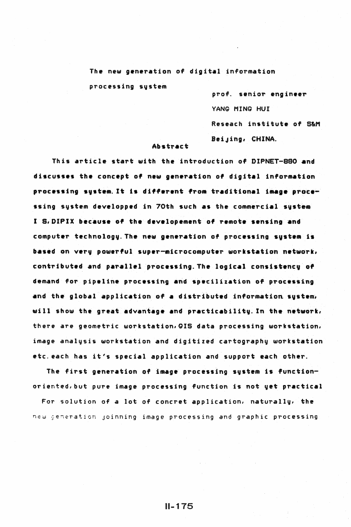The new generation of digital information processing sustem

> prof. senior engineer YANG MING HUI Reseach institute of S&M BeiJing, CHINA.

## Abstract

This article start with the introduction of DIPNET-880 and discusses the concept of new gene~ation of digital information processing system. It is different from traditional image processing system developped in 70th such as the commercial sustem I S. DIPIX because of the developement of remote sensing and computer technology. The new generation of processing system is based on very powerful super-microcomputer workstation network, contributed and parallel processing. The logical consistency of demand for pipeline processing and specilization of processing and the global application of a distributed information sustem, will show the great advantage and practicability. In the network, there are geometric workstation. GIS data processing workstation, image analysis workstation and digitized cartography workstation etc.each has it's special application and support each other.

The first generation of image processing system is functionoriented,but pure image processing function is not yet practical

For solution of a lot of concret application, naturally, the new generation joinning image processing and graphic processing

## U-175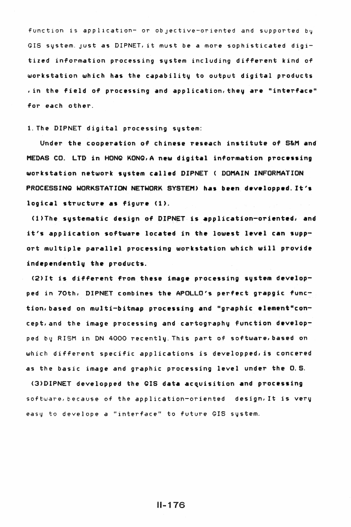function is application- or objective-oriented and supported by GIS system. JUSt as DIPNET, it must be *a* more sophisticated digitized information processing system including different kind of workstation which has the capability to output digital products , in the field of processing and application, they are "interface" for each other.

1. The DIPNET digital processing system:

Under the cooperation of chinese reseach institute of S&M and' MEDAS CO. LTD in HONQ KONQ,A new digital information processing workstation network system called DIPNET ( DOMAIN INFORMATION PROCESSING WORKSTATION NETWORK SYSTEM> has been developped. It's logical structure as figure (1).

Cl)The systematic design of DIPNET is application-oriented, and it's application software located in the lowest level can support multiple parallel processing workstation which will provide independently the products.

(2)It is different from these image processing system developped in 70th, DIPNET combines the APOLLO's perfect grapgic function, based on multi-bitmap processing and "graphic element"concept,and the image processing and cartography function developped by RISM in ON 4000 recently.This part of software,based on which different specific applications is developped, is concered as the basic image and graphic processing level under the O.S.

<3)DIPNET developped the GIS data acquisition and processing software, because of the application-oriented design, It is very easy to develope a "interface" to future GIS system.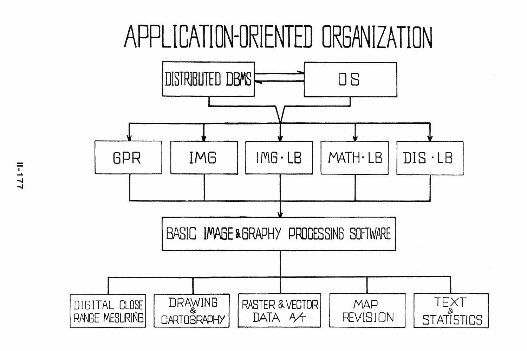## **APPLICATION-ORIENTED ORGANIZATION**

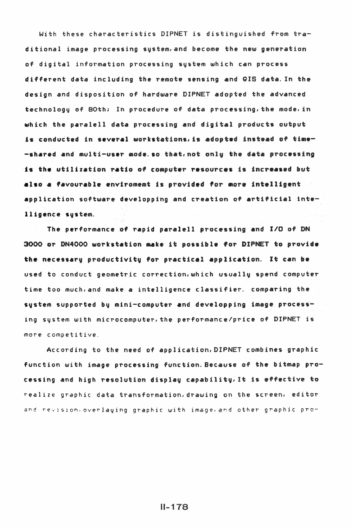With these characteristics DIPNET is distinguished from traditional image processing system, and become the new generation of digital information processing system which can process different data including the r~mote sensing and GIS data. In the design and disposition of hardware DIPNET adopted the advanced technology of 80th; In procedure of data processing, the mode, in which the paralell data processing and digital products output is conducted in several workstations, is adopted instead of time--shared and multi-user mode so that not only the data processing is the utilization ratio of computer resources is also a favourable enviromemt is provided for more intellige application software developping and creation of artificial inte-11 igence svstem.

The performance of rapid paralell processing and I/O of DN 3000 or DN4000 workstation make it possible for DIPNET to provide the necessary productivity for practical application. It can be used to conduct geometric correction,which usually spend computer time too much,and make a intelligence classifier. comparing the system supported by mini-computer and developping image processing system with microcomputer,the performance/price of DIPNET is more competitive.

According to the need of application,DIPNET combines graphic function with image processing function. Because of the bitmap  $pr\sigma$ cessing and high resolution display capability, It is effective to realize graphic data transformation,drawing on the screen, editor ~nd rev1s1on.overlaying graphic with image,and other graphic pro-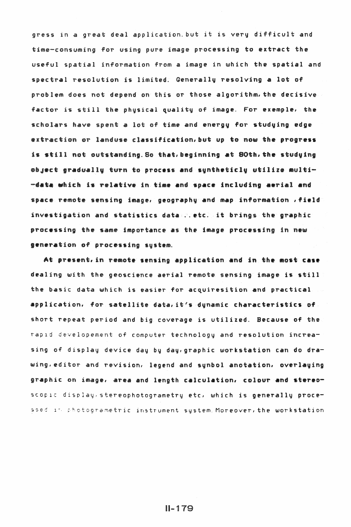gress in *a* great deal application.but it is very difficult and time-consuming for using pure image processing to extract the useful spatial information from a image in which the spatial and spectral resolution is limited. Generallv resolving a lot of problem does not depend on this or those algorithm,the decisive factor is still the physical quality of image. For exemple, the scholars have spent a lot of time and energy for studying edge extraction or landuse classification, but up to now the progress is still not outstanding. So that, beginning at 80th, the studying object gradually turn to process and suntheticly utilize multi--data which is relative in time and space including aerial and space remote sensing image, geographv and map information ,field investigation and statistics data .. etc. it brings the graphic processing the same importance as the image processing in new generation of processing sustem.

At present, in remote sensing application and in the most case dealing with the geoscience aerial remote sensing image is still the basic data which is easier for acquiresition and practical application, for satellite data,it's dunamic characteristics of short repeat period and big coverage is utilized. Because of the rapid developement of computer technology and resolution increasing of display device day by day,graphic workstation can do dra wing, editor and revision, legend and synbol anotation, overlaying  $graphic$  on image, area and length calculation, colour and stereoscopic display, stereophotogrametry etc, which is generally processed it chotogrametric instrument system. Moreover, the workstation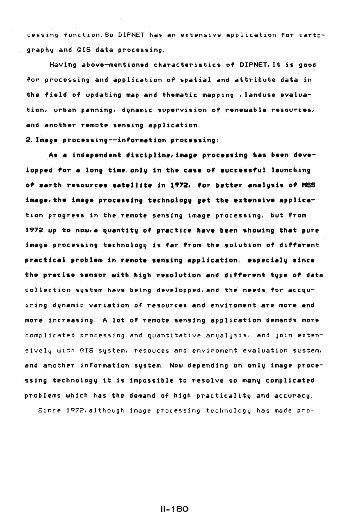cessing function.So DIPNET has an extensive application for cartography and GIS data processing.

Having above-mentioned characteristics of DIPNET, It is good for processing and application of spatial and attribute data in the field of updating map and thematic mapping , landuse evaluation, urban panning, dvnamic supervision of renewable resources, and another remote sensing application.

2. Image processing--information processing:

As a independent discipline, image processing has been developped for a long time only in the case of successful launching of earth resources satellite in 1972, for better analysis of MSS image, the image processing technology get the extensive application progress in the remote sensing image processing. but from 1972 up to now,a quantitv of practice have been showing that pure image processing technologv is far from the solution of different practical problem in remote sensing application. especialy since the precise sensor with high resolution and different type of data collection system have being developped, and the needs for accqu-·iring dynamic variation of resources and enviroment are more and more increasing. A lot of remote sensing application demands more complicated processing and quantitative anyalysis, and join extensively with GIS system, resouces and enviroment evaluation sustem, and another information system. Now depending on only image processing technology it is impossible to resolve so many complicated problems which has the demand of high practicality and accuracy.

S1nce 1972,although image processing technology has made pro-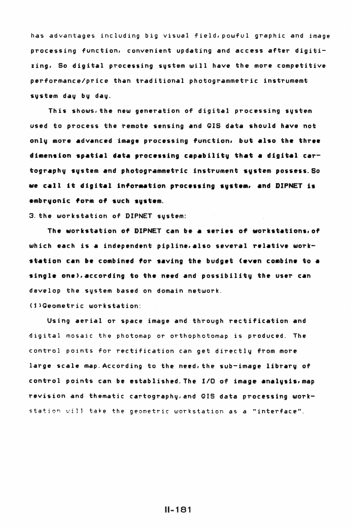has advantages including big visual field,powful graphic and image processing function, convenient updating and access after digitizing, So digital processing svstem will *have* the more competitive performance/price than traditional photogrammetric instrumemt svstem day by day.

This shows,the new generation of digital processing system used to process the remote sensing and GIS data should have not onlv more •dvanced image processing function. but •lso the three dimension spatial data processing capability that a digital cartography system and photogrammetric instrument system possess. So we call it digital information processing system, and DIPNET is embryonic form of such system.

3. the workstation of DIPNET system:

The workstation of DIPNET can be a series of workstations, of which each is a independent pipline.also several relative workstation can be combined for saving the budget (even combine to a single one), according to the need and possibility the user can develop the system based on domain network. (l)Qeometric workstation:

Using aerial *or* space image and through rectification and digital mosaic the photomap or orthophotomap is produced. The control points for rectification can get directly from more large scale map. According to the need, the sub-image library of control points can be established. The I/O of image analysis, map revision and thematic cartography, and GIS data processing workstation will take the geometric workstation as a "interface".

## $II - 181$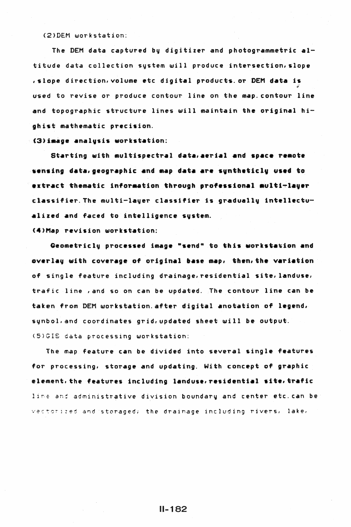<2>DEM workstation:

The DEM data captured by digitizer and photogrammetric altitude data collection system will produce intersection,slope , slope direction, volume etc digital products or DEM data is used to revise or produce contour line on the map. contour line and topographic structure lines will maintain the original highist mathematic precision.

(3) image analysis workstation:

Starting with multispectral data, aerial and space remote ••nsing d•ta,geogr•phic •nd ••P dat• *•r•* svntheticlt us•d to extract thematic information through professional multi-layer classifier.The multi-layer classifier is gradually intellectualized and faced to intelligence svstem.

(4)Map revision workstation:

Geometricly processed image "send" to this workstation and overlay with coverage of original base map, then, the variation of single feature including drainage, residential site, landuse, trafic line ,and so on can be updated. The contour line can be taken from DEM workstation.after digital anotation of legend, synbol, and coordinates grid, updated sheet will be output. (5)GIS data processing workstation:

The map feature can be divided into several single features for processing, storage and updating. With concept of graphic element. the features including landuse, residential site, trafic line and administrative division boundary and center etc.can be ·•· *;:* c t :: ; 1 *z e* d -3 fl *d* s t o r *a* g e *d* ; t h *e* d r a i n *a* g *e i* n c 1 u *d* i n g r i v *e* r s , 1 a k *e* ,